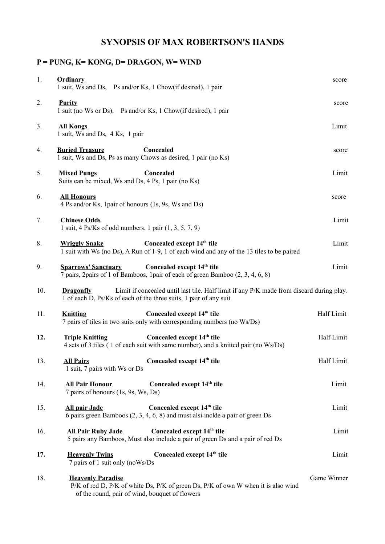## **SYNOPSIS OF MAX ROBERTSON'S HANDS**

## **P = PUNG, K= KONG, D= DRAGON, W= WIND**

| 1.  | <b>Ordinary</b><br>1 suit, Ws and Ds, Ps and/or Ks, 1 Chow(if desired), 1 pair                                                                                                    | score       |
|-----|-----------------------------------------------------------------------------------------------------------------------------------------------------------------------------------|-------------|
| 2.  | <b>Purity</b><br>1 suit (no Ws or Ds), Ps and/or Ks, 1 Chow(if desired), 1 pair                                                                                                   | score       |
| 3.  | <b>All Kongs</b><br>1 suit, Ws and Ds, 4 Ks, 1 pair                                                                                                                               | Limit       |
| 4.  | <b>Buried Treasure</b><br>Concealed<br>1 suit, Ws and Ds, Ps as many Chows as desired, 1 pair (no Ks)                                                                             | score       |
| 5.  | Concealed<br><b>Mixed Pungs</b><br>Suits can be mixed, Ws and Ds, 4 Ps, 1 pair (no Ks)                                                                                            | Limit       |
| 6.  | <b>All Honours</b><br>4 Ps and/or Ks, 1 pair of honours (1s, 9s, Ws and Ds)                                                                                                       | score       |
| 7.  | <b>Chinese Odds</b><br>1 suit, 4 Ps/Ks of odd numbers, 1 pair $(1, 3, 5, 7, 9)$                                                                                                   | Limit       |
| 8.  | Concealed except 14 <sup>th</sup> tile<br><b>Wriggly Snake</b><br>1 suit with Ws (no Ds), A Run of 1-9, 1 of each wind and any of the 13 tiles to be paired                       | Limit       |
| 9.  | Concealed except 14 <sup>th</sup> tile<br><b>Sparrows' Sanctuary</b><br>7 pairs, 2pairs of 1 of Bamboos, 1pair of each of green Bamboo (2, 3, 4, 6, 8)                            | Limit       |
| 10. | Limit if concealed until last tile. Half limit if any P/K made from discard during play.<br><b>Dragonfly</b><br>1 of each D, Ps/Ks of each of the three suits, 1 pair of any suit |             |
| 11. | Concealed except 14 <sup>th</sup> tile<br><b>Knitting</b><br>7 pairs of tiles in two suits only with corresponding numbers (no Ws/Ds)                                             | Half Limit  |
| 12. | Concealed except 14 <sup>th</sup> tile<br><b>Triple Knitting</b><br>4 sets of 3 tiles (1 of each suit with same number), and a knitted pair (no Ws/Ds)                            | Half Limit  |
| 13. | Concealed except 14 <sup>th</sup> tile<br><b>All Pairs</b><br>1 suit, 7 pairs with Ws or Ds                                                                                       | Half Limit  |
| 14. | Concealed except 14 <sup>th</sup> tile<br><b>All Pair Honour</b><br>7 pairs of honours (1s, 9s, Ws, Ds)                                                                           | Limit       |
| 15. | Concealed except 14 <sup>th</sup> tile<br><b>All pair Jade</b><br>6 pairs green Bamboos (2, 3, 4, 6, 8) and must alsi inclde a pair of green Ds                                   | Limit       |
| 16. | Concealed except 14 <sup>th</sup> tile<br><b>All Pair Ruby Jade</b><br>5 pairs any Bamboos, Must also include a pair of green Ds and a pair of red Ds                             | Limit       |
| 17. | Concealed except 14 <sup>th</sup> tile<br><b>Heavenly Twins</b><br>7 pairs of 1 suit only (noWs/Ds                                                                                | Limit       |
| 18. | <b>Heavenly Paradise</b><br>P/K of red D, P/K of white Ds, P/K of green Ds, P/K of own W when it is also wind<br>of the round, pair of wind, bouquet of flowers                   | Game Winner |